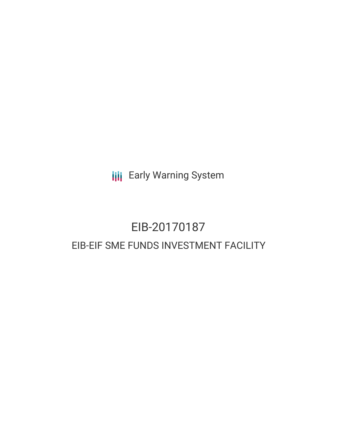**III** Early Warning System

# EIB-20170187 EIB-EIF SME FUNDS INVESTMENT FACILITY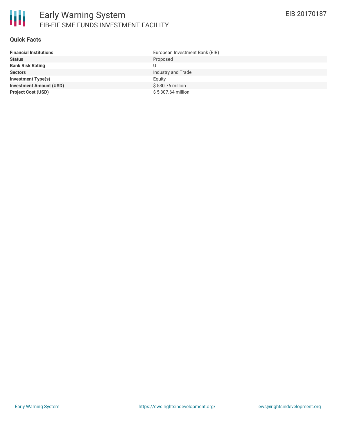### **Quick Facts**

| <b>Financial Institutions</b>  | European Investment Bank (EIB) |
|--------------------------------|--------------------------------|
| <b>Status</b>                  | Proposed                       |
| <b>Bank Risk Rating</b>        |                                |
| <b>Sectors</b>                 | Industry and Trade             |
| <b>Investment Type(s)</b>      | Equity                         |
| <b>Investment Amount (USD)</b> | \$530.76 million               |
| <b>Project Cost (USD)</b>      | \$5,307.64 million             |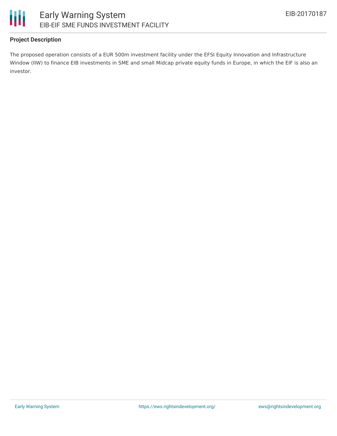

## **Project Description**

The proposed operation consists of a EUR 500m investment facility under the EFSI Equity Innovation and Infrastructure Window (IIW) to finance EIB investments in SME and small Midcap private equity funds in Europe, in which the EIF is also an investor.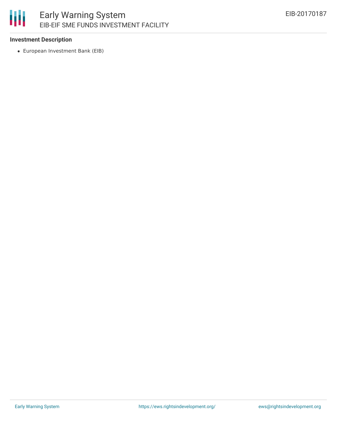# 冊 Early Warning System EIB-EIF SME FUNDS INVESTMENT FACILITY

## **Investment Description**

European Investment Bank (EIB)